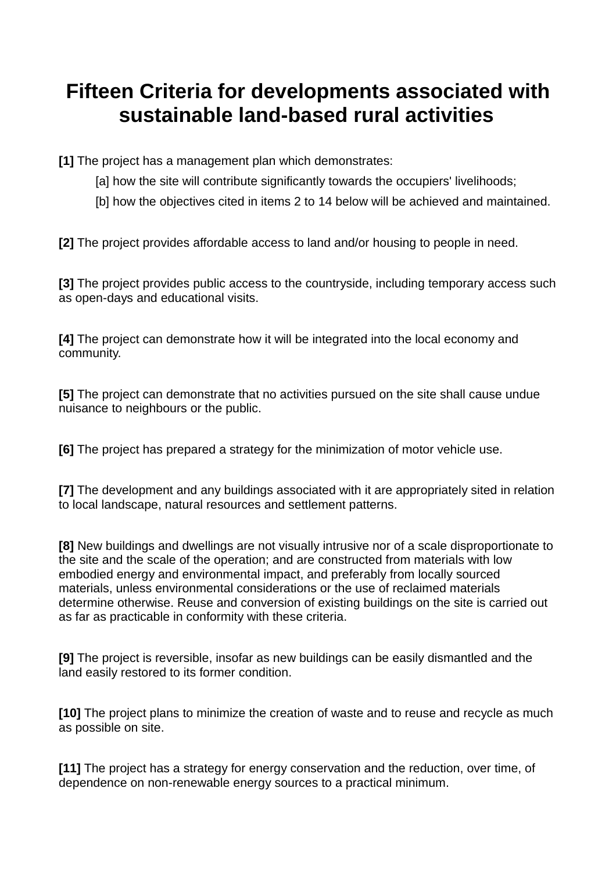## **Fifteen Criteria for developments associated with sustainable land-based rural activities**

**[1]** The project has a management plan which demonstrates:

- [a] how the site will contribute significantly towards the occupiers' livelihoods:
- [b] how the objectives cited in items 2 to 14 below will be achieved and maintained.

**[2]** The project provides affordable access to land and/or housing to people in need.

**[3]** The project provides public access to the countryside, including temporary access such as open-days and educational visits.

**[4]** The project can demonstrate how it will be integrated into the local economy and community.

**[5]** The project can demonstrate that no activities pursued on the site shall cause undue nuisance to neighbours or the public.

**[6]** The project has prepared a strategy for the minimization of motor vehicle use.

**[7]** The development and any buildings associated with it are appropriately sited in relation to local landscape, natural resources and settlement patterns.

**[8]** New buildings and dwellings are not visually intrusive nor of a scale disproportionate to the site and the scale of the operation; and are constructed from materials with low embodied energy and environmental impact, and preferably from locally sourced materials, unless environmental considerations or the use of reclaimed materials determine otherwise. Reuse and conversion of existing buildings on the site is carried out as far as practicable in conformity with these criteria.

**[9]** The project is reversible, insofar as new buildings can be easily dismantled and the land easily restored to its former condition.

**[10]** The project plans to minimize the creation of waste and to reuse and recycle as much as possible on site.

**[11]** The project has a strategy for energy conservation and the reduction, over time, of dependence on non-renewable energy sources to a practical minimum.